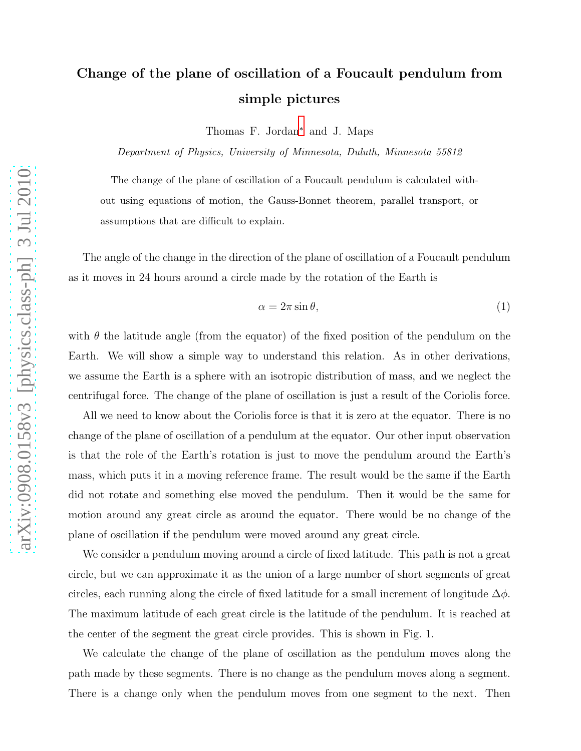## Change of the plane of oscillation of a Foucault pendulum from simple pictures

Thomas F. Jordan[∗](#page-2-0) and J. Maps

Department of Physics, University of Minnesota, Duluth, Minnesota 55812

The change of the plane of oscillation of a Foucault pendulum is calculated without using equations of motion, the Gauss-Bonnet theorem, parallel transport, or assumptions that are difficult to explain.

The angle of the change in the direction of the plane of oscillation of a Foucault pendulum as it moves in 24 hours around a circle made by the rotation of the Earth is

<span id="page-0-0"></span>
$$
\alpha = 2\pi \sin \theta,\tag{1}
$$

with  $\theta$  the latitude angle (from the equator) of the fixed position of the pendulum on the Earth. We will show a simple way to understand this relation. As in other derivations, we assume the Earth is a sphere with an isotropic distribution of mass, and we neglect the centrifugal force. The change of the plane of oscillation is just a result of the Coriolis force.

All we need to know about the Coriolis force is that it is zero at the equator. There is no change of the plane of oscillation of a pendulum at the equator. Our other input observation is that the role of the Earth's rotation is just to move the pendulum around the Earth's mass, which puts it in a moving reference frame. The result would be the same if the Earth did not rotate and something else moved the pendulum. Then it would be the same for motion around any great circle as around the equator. There would be no change of the plane of oscillation if the pendulum were moved around any great circle.

We consider a pendulum moving around a circle of fixed latitude. This path is not a great circle, but we can approximate it as the union of a large number of short segments of great circles, each running along the circle of fixed latitude for a small increment of longitude  $\Delta \phi$ . The maximum latitude of each great circle is the latitude of the pendulum. It is reached at the center of the segment the great circle provides. This is shown in Fig. 1.

We calculate the change of the plane of oscillation as the pendulum moves along the path made by these segments. There is no change as the pendulum moves along a segment. There is a change only when the pendulum moves from one segment to the next. Then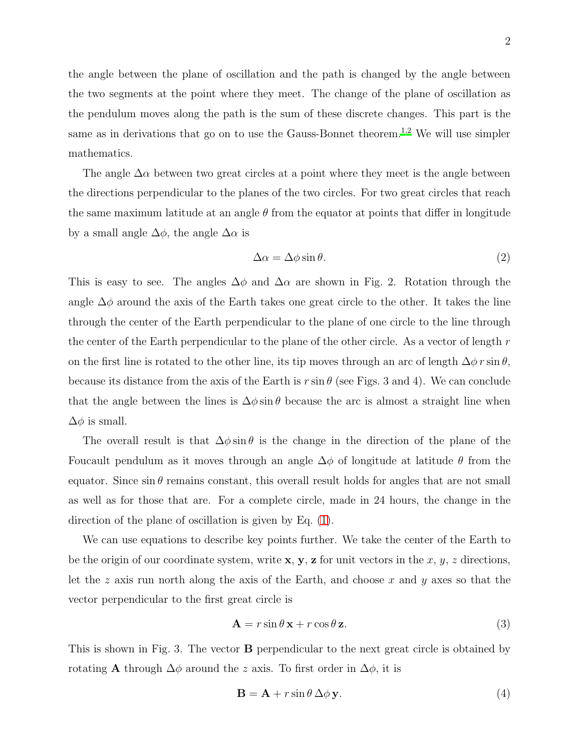the angle between the plane of oscillation and the path is changed by the angle between the two segments at the point where they meet. The change of the plane of oscillation as the pendulum moves along the path is the sum of these discrete changes. This part is the same as in derivations that go on to use the Gauss-Bonnet theorem.<sup>[1](#page-2-1)[,2](#page-2-2)</sup> We will use simpler mathematics.

The angle  $\Delta \alpha$  between two great circles at a point where they meet is the angle between the directions perpendicular to the planes of the two circles. For two great circles that reach the same maximum latitude at an angle  $\theta$  from the equator at points that differ in longitude by a small angle  $\Delta\phi$ , the angle  $\Delta\alpha$  is

<span id="page-1-1"></span>
$$
\Delta \alpha = \Delta \phi \sin \theta. \tag{2}
$$

This is easy to see. The angles  $\Delta\phi$  and  $\Delta\alpha$  are shown in Fig. 2. Rotation through the angle  $\Delta\phi$  around the axis of the Earth takes one great circle to the other. It takes the line through the center of the Earth perpendicular to the plane of one circle to the line through the center of the Earth perpendicular to the plane of the other circle. As a vector of length  $r$ on the first line is rotated to the other line, its tip moves through an arc of length  $\Delta\phi r \sin\theta$ , because its distance from the axis of the Earth is  $r \sin \theta$  (see Figs. 3 and 4). We can conclude that the angle between the lines is  $\Delta\phi$  sin  $\theta$  because the arc is almost a straight line when  $\Delta\phi$  is small.

The overall result is that  $\Delta\phi\sin\theta$  is the change in the direction of the plane of the Foucault pendulum as it moves through an angle  $\Delta\phi$  of longitude at latitude  $\theta$  from the equator. Since  $\sin \theta$  remains constant, this overall result holds for angles that are not small as well as for those that are. For a complete circle, made in 24 hours, the change in the direction of the plane of oscillation is given by Eq. [\(1\)](#page-0-0).

We can use equations to describe key points further. We take the center of the Earth to be the origin of our coordinate system, write  $x, y, z$  for unit vectors in the x, y, z directions, let the z axis run north along the axis of the Earth, and choose x and y axes so that the vector perpendicular to the first great circle is

<span id="page-1-0"></span>
$$
\mathbf{A} = r \sin \theta \mathbf{x} + r \cos \theta \mathbf{z}.\tag{3}
$$

This is shown in Fig. 3. The vector B perpendicular to the next great circle is obtained by rotating **A** through  $\Delta\phi$  around the z axis. To first order in  $\Delta\phi$ , it is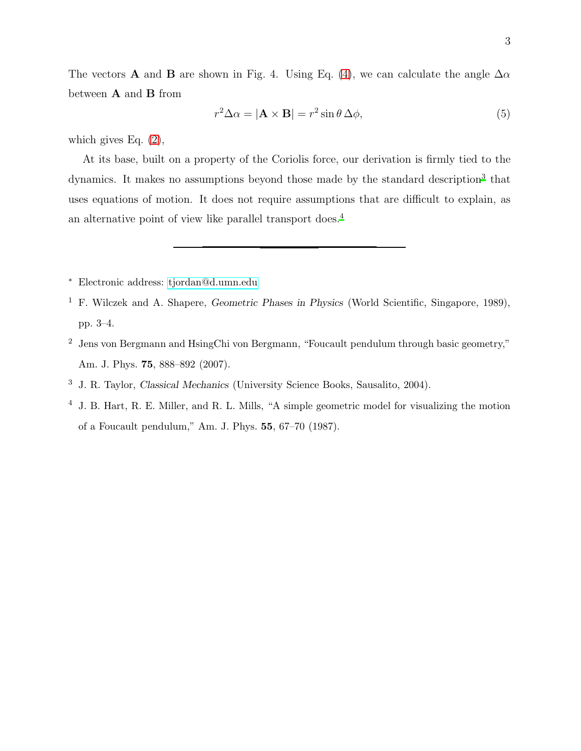The vectors **A** and **B** are shown in Fig. 4. Using Eq. [\(4\)](#page-1-0), we can calculate the angle  $\Delta \alpha$ between  ${\bf A}$  and  ${\bf B}$  from

$$
r^2 \Delta \alpha = |\mathbf{A} \times \mathbf{B}| = r^2 \sin \theta \, \Delta \phi,\tag{5}
$$

which gives Eq.  $(2)$ ,

At its base, built on a property of the Coriolis force, our derivation is firmly tied to the dynamics. It makes no assumptions beyond those made by the standard description<sup>[3](#page-2-3)</sup> that uses equations of motion. It does not require assumptions that are difficult to explain, as an alternative point of view like parallel transport does[.](#page-2-4)<sup>4</sup>

- <span id="page-2-0"></span><sup>∗</sup> Electronic address: [tjordan@d.umn.edu](mailto:tjordan@d.umn.edu)
- <span id="page-2-1"></span><sup>1</sup> F. Wilczek and A. Shapere, *Geometric Phases in Physics* (World Scientific, Singapore, 1989), pp. 3–4.
- <span id="page-2-2"></span><sup>2</sup> Jens von Bergmann and HsingChi von Bergmann, "Foucault pendulum through basic geometry," Am. J. Phys. **75**, 888-892 (2007).
- <span id="page-2-3"></span><sup>3</sup> J. R. Taylor, Classical Mechanics (University Science Books, Sausalito, 2004).
- <span id="page-2-4"></span><sup>4</sup> J. B. Hart, R. E. Miller, and R. L. Mills, "A simple geometric model for visualizing the motion of a Foucault pendulum," Am. J. Phys. 55, 67–70 (1987).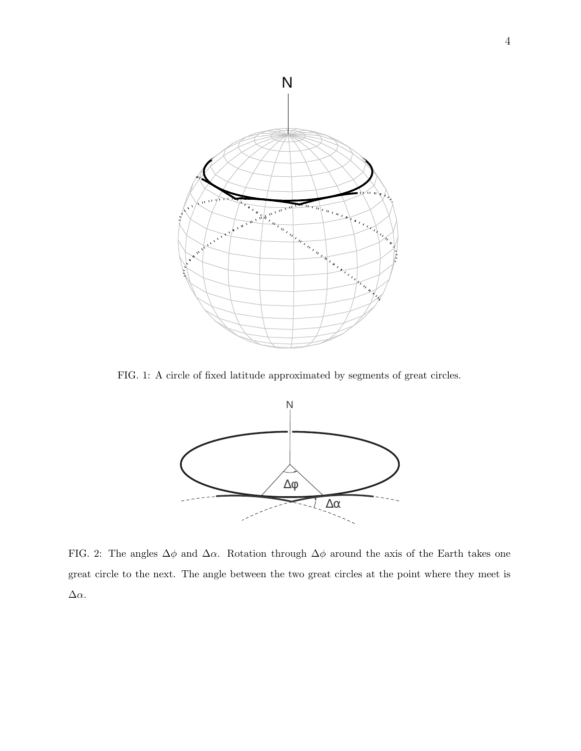

FIG. 1: A circle of fixed latitude approximated by segments of great circles.



FIG. 2: The angles  $\Delta\phi$  and  $\Delta\alpha$ . Rotation through  $\Delta\phi$  around the axis of the Earth takes one great circle to the next. The angle between the two great circles at the point where they meet is ∆α.